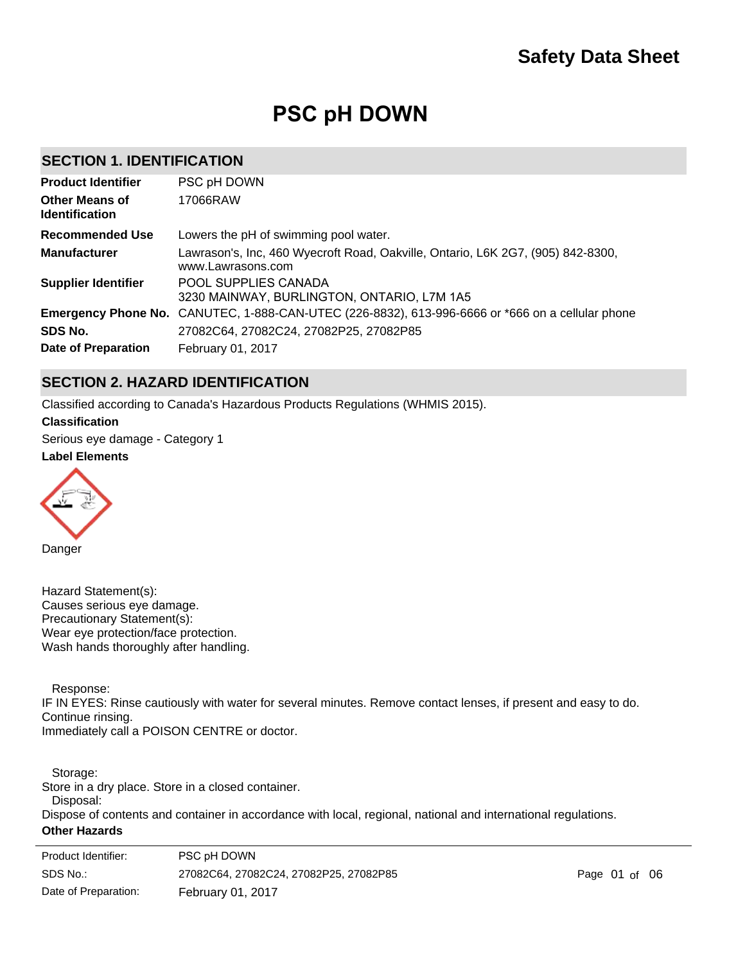# **PSC pH DOWN**

## **SECTION 1. IDENTIFICATION**

| <b>Product Identifier</b>                      | PSC pH DOWN                                                                                             |
|------------------------------------------------|---------------------------------------------------------------------------------------------------------|
| <b>Other Means of</b><br><b>Identification</b> | 17066RAW                                                                                                |
| <b>Recommended Use</b>                         | Lowers the pH of swimming pool water.                                                                   |
| <b>Manufacturer</b>                            | Lawrason's, Inc, 460 Wyecroft Road, Oakville, Ontario, L6K 2G7, (905) 842-8300,<br>www.Lawrasons.com    |
| <b>Supplier Identifier</b>                     | POOL SUPPLIES CANADA<br>3230 MAINWAY, BURLINGTON, ONTARIO, L7M 1A5                                      |
|                                                | <b>Emergency Phone No.</b> CANUTEC, 1-888-CAN-UTEC (226-8832), 613-996-6666 or *666 on a cellular phone |
| SDS No.                                        | 27082C64, 27082C24, 27082P25, 27082P85                                                                  |
| Date of Preparation                            | February 01, 2017                                                                                       |

## **SECTION 2. HAZARD IDENTIFICATION**

Classified according to Canada's Hazardous Products Regulations (WHMIS 2015).

**Label Elements Classification** Serious eye damage - Category 1

Danger

Hazard Statement(s): Causes serious eye damage. Precautionary Statement(s): Wear eye protection/face protection. Wash hands thoroughly after handling.

Response:

IF IN EYES: Rinse cautiously with water for several minutes. Remove contact lenses, if present and easy to do. Continue rinsing. Immediately call a POISON CENTRE or doctor.

 Storage: Store in a dry place. Store in a closed container.

Disposal:

Dispose of contents and container in accordance with local, regional, national and international regulations.

### **Other Hazards**

| Product Identifier:  | PSC pH DOWN                            |
|----------------------|----------------------------------------|
| SDS No.:             | 27082C64, 27082C24, 27082P25, 27082P85 |
| Date of Preparation: | <b>February 01, 2017</b>               |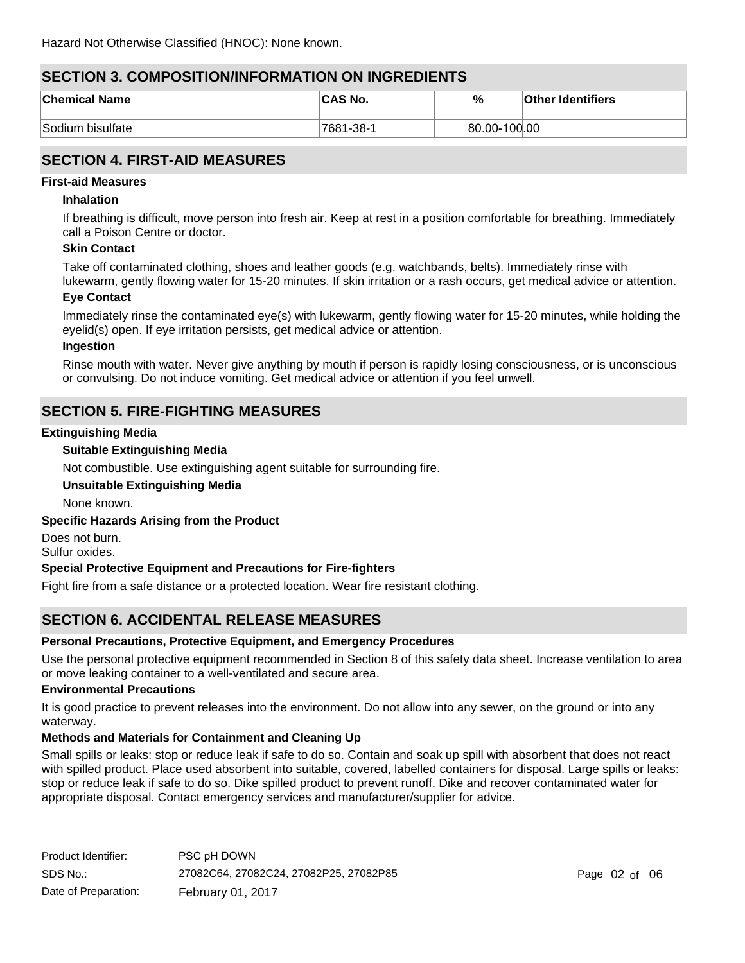## **SECTION 3. COMPOSITION/INFORMATION ON INGREDIENTS**

| <b>Chemical Name</b> | <b>CAS No.</b> | %            | <b>Other Identifiers</b> |
|----------------------|----------------|--------------|--------------------------|
| Sodium bisulfate     | 7681-38-1      | 80.00-100.00 |                          |

## **SECTION 4. FIRST-AID MEASURES**

### **First-aid Measures**

### **Inhalation**

If breathing is difficult, move person into fresh air. Keep at rest in a position comfortable for breathing. Immediately call a Poison Centre or doctor.

### **Skin Contact**

Take off contaminated clothing, shoes and leather goods (e.g. watchbands, belts). Immediately rinse with lukewarm, gently flowing water for 15-20 minutes. If skin irritation or a rash occurs, get medical advice or attention.

### **Eye Contact**

Immediately rinse the contaminated eye(s) with lukewarm, gently flowing water for 15-20 minutes, while holding the eyelid(s) open. If eye irritation persists, get medical advice or attention.

### **Ingestion**

Rinse mouth with water. Never give anything by mouth if person is rapidly losing consciousness, or is unconscious or convulsing. Do not induce vomiting. Get medical advice or attention if you feel unwell.

## **SECTION 5. FIRE-FIGHTING MEASURES**

### **Extinguishing Media**

### **Suitable Extinguishing Media**

Not combustible. Use extinguishing agent suitable for surrounding fire.

### **Unsuitable Extinguishing Media**

None known.

### **Specific Hazards Arising from the Product**

Does not burn. Sulfur oxides.

### **Special Protective Equipment and Precautions for Fire-fighters**

Fight fire from a safe distance or a protected location. Wear fire resistant clothing.

## **SECTION 6. ACCIDENTAL RELEASE MEASURES**

### **Personal Precautions, Protective Equipment, and Emergency Procedures**

Use the personal protective equipment recommended in Section 8 of this safety data sheet. Increase ventilation to area or move leaking container to a well-ventilated and secure area.

### **Environmental Precautions**

It is good practice to prevent releases into the environment. Do not allow into any sewer, on the ground or into any waterway.

### **Methods and Materials for Containment and Cleaning Up**

Small spills or leaks: stop or reduce leak if safe to do so. Contain and soak up spill with absorbent that does not react with spilled product. Place used absorbent into suitable, covered, labelled containers for disposal. Large spills or leaks: stop or reduce leak if safe to do so. Dike spilled product to prevent runoff. Dike and recover contaminated water for appropriate disposal. Contact emergency services and manufacturer/supplier for advice.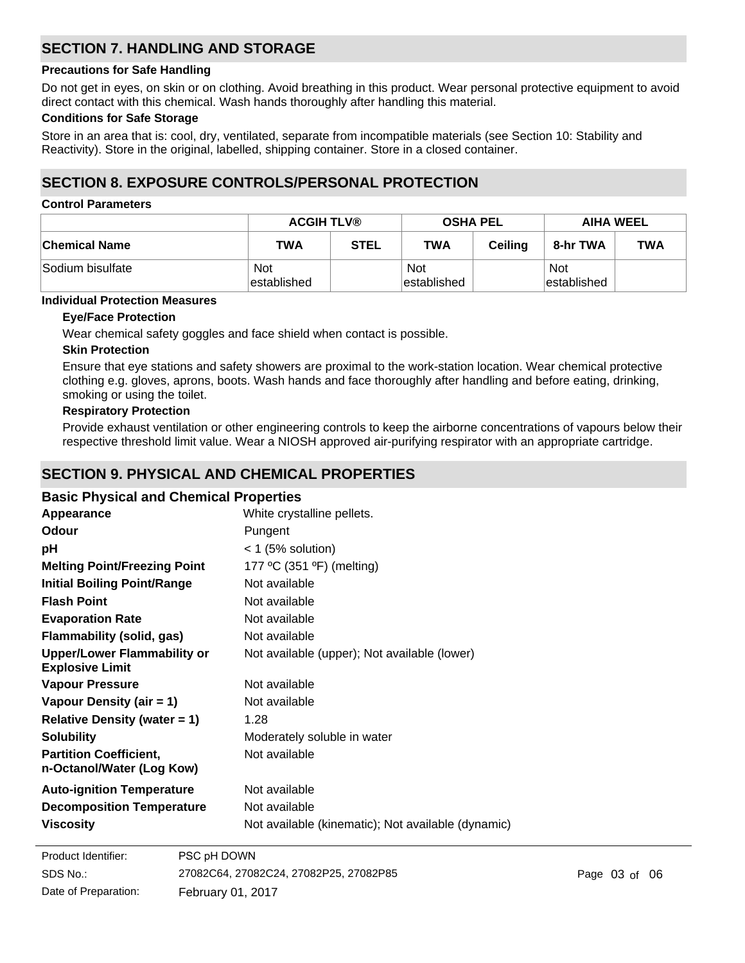## **SECTION 7. HANDLING AND STORAGE**

### **Precautions for Safe Handling**

Do not get in eyes, on skin or on clothing. Avoid breathing in this product. Wear personal protective equipment to avoid direct contact with this chemical. Wash hands thoroughly after handling this material.

### **Conditions for Safe Storage**

Store in an area that is: cool, dry, ventilated, separate from incompatible materials (see Section 10: Stability and Reactivity). Store in the original, labelled, shipping container. Store in a closed container.

## **SECTION 8. EXPOSURE CONTROLS/PERSONAL PROTECTION**

### **Control Parameters**

|                  | <b>ACGIH TLV®</b>  |             | <b>OSHA PEL</b>           |                | <b>AIHA WEEL</b>          |     |
|------------------|--------------------|-------------|---------------------------|----------------|---------------------------|-----|
| ∣Chemical Name   | <b>TWA</b>         | <b>STEL</b> | <b>TWA</b>                | <b>Ceiling</b> | 8-hr TWA                  | TWA |
| Sodium bisulfate | Not<br>established |             | <b>Not</b><br>established |                | <b>Not</b><br>established |     |

## **Individual Protection Measures**

### **Eye/Face Protection**

Wear chemical safety goggles and face shield when contact is possible.

### **Skin Protection**

Ensure that eye stations and safety showers are proximal to the work-station location. Wear chemical protective clothing e.g. gloves, aprons, boots. Wash hands and face thoroughly after handling and before eating, drinking, smoking or using the toilet.

### **Respiratory Protection**

Provide exhaust ventilation or other engineering controls to keep the airborne concentrations of vapours below their respective threshold limit value. Wear a NIOSH approved air-purifying respirator with an appropriate cartridge.

## **SECTION 9. PHYSICAL AND CHEMICAL PROPERTIES**

### **Basic Physical and Chemical Properties**

| Appearance                                                   | White crystalline pellets.                         |
|--------------------------------------------------------------|----------------------------------------------------|
| <b>Odour</b>                                                 | Pungent                                            |
| рH                                                           | $<$ 1 (5% solution)                                |
| <b>Melting Point/Freezing Point</b>                          | 177 °C (351 °F) (melting)                          |
| <b>Initial Boiling Point/Range</b>                           | Not available                                      |
| <b>Flash Point</b>                                           | Not available                                      |
| <b>Evaporation Rate</b>                                      | Not available                                      |
| Flammability (solid, gas)                                    | Not available                                      |
| <b>Upper/Lower Flammability or</b><br><b>Explosive Limit</b> | Not available (upper); Not available (lower)       |
| <b>Vapour Pressure</b>                                       | Not available                                      |
| Vapour Density (air = 1)                                     | Not available                                      |
| Relative Density (water $= 1$ )                              | 1.28                                               |
| <b>Solubility</b>                                            | Moderately soluble in water                        |
| <b>Partition Coefficient,</b><br>n-Octanol/Water (Log Kow)   | Not available                                      |
| <b>Auto-ignition Temperature</b>                             | Not available                                      |
| <b>Decomposition Temperature</b>                             | Not available                                      |
| <b>Viscosity</b>                                             | Not available (kinematic); Not available (dynamic) |

| Product Identifier:  | PSC pH DOWN                            |
|----------------------|----------------------------------------|
| SDS No.:             | 27082C64, 27082C24, 27082P25, 27082P85 |
| Date of Preparation: | <b>February 01, 2017</b>               |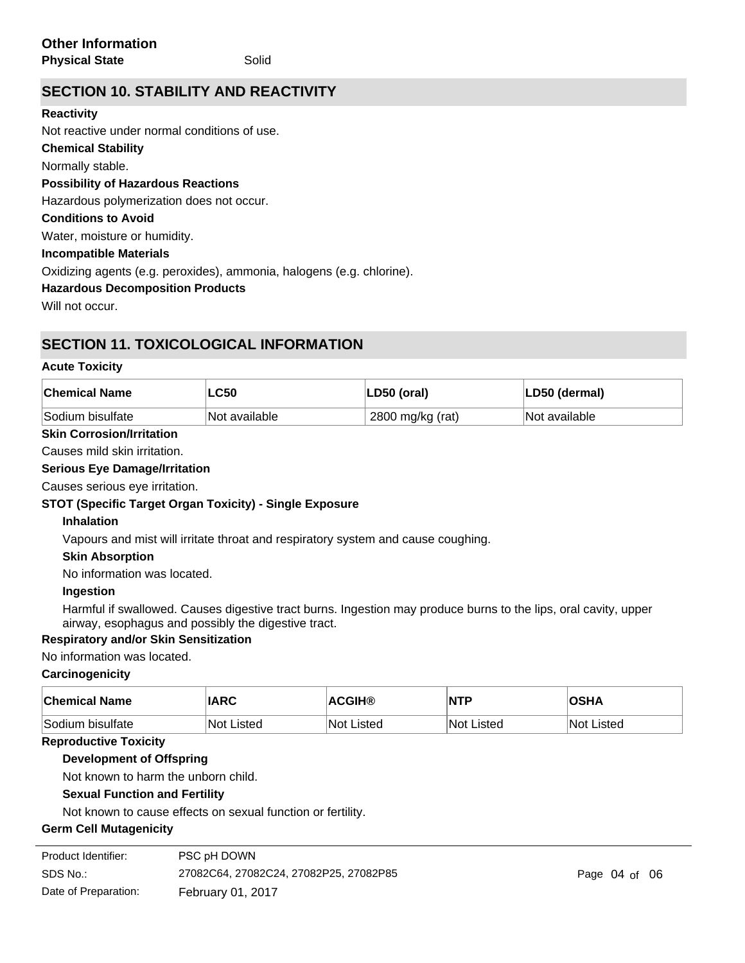## **SECTION 10. STABILITY AND REACTIVITY**

### **Reactivity**

**Chemical Stability** Normally stable. **Conditions to Avoid Possibility of Hazardous Reactions** Hazardous polymerization does not occur. Not reactive under normal conditions of use.

Water, moisture or humidity.

## **Incompatible Materials**

Oxidizing agents (e.g. peroxides), ammonia, halogens (e.g. chlorine).

## **Hazardous Decomposition Products**

Will not occur

## **SECTION 11. TOXICOLOGICAL INFORMATION**

## **Acute Toxicity**

| <b>Chemical Name</b> | <b>LC50</b>                | LD50 (oral)      | LD50 (dermal) |
|----------------------|----------------------------|------------------|---------------|
| Sodium bisulfate     | <sup>I</sup> Not available | 2800 mg/kg (rat) | Not available |

## **Skin Corrosion/Irritation**

Causes mild skin irritation.

## **Serious Eye Damage/Irritation**

Causes serious eye irritation.

## **STOT (Specific Target Organ Toxicity) - Single Exposure**

## **Inhalation**

Vapours and mist will irritate throat and respiratory system and cause coughing.

## **Skin Absorption**

No information was located.

## **Ingestion**

Harmful if swallowed. Causes digestive tract burns. Ingestion may produce burns to the lips, oral cavity, upper airway, esophagus and possibly the digestive tract.

## **Respiratory and/or Skin Sensitization**

## No information was located.

## **Carcinogenicity**

| ∣Chemical Name    | <b>IARC</b> | <b>ACGIH®</b> | $\overline{\mathsf{NTP}}$ | <b>OSHA</b>       |
|-------------------|-------------|---------------|---------------------------|-------------------|
| ∣Sodium bisulfate | Not Listed  | ∣Not Listed   | <b>Not Listed</b>         | <b>Not Listed</b> |

## **Reproductive Toxicity**

**Development of Offspring**

Not known to harm the unborn child.

## **Sexual Function and Fertility**

Not known to cause effects on sexual function or fertility.

## **Germ Cell Mutagenicity**

| Product Identifier:  | PSC pH DOWN                            |
|----------------------|----------------------------------------|
| SDS No.:             | 27082C64, 27082C24, 27082P25, 27082P85 |
| Date of Preparation: | February 01, 2017                      |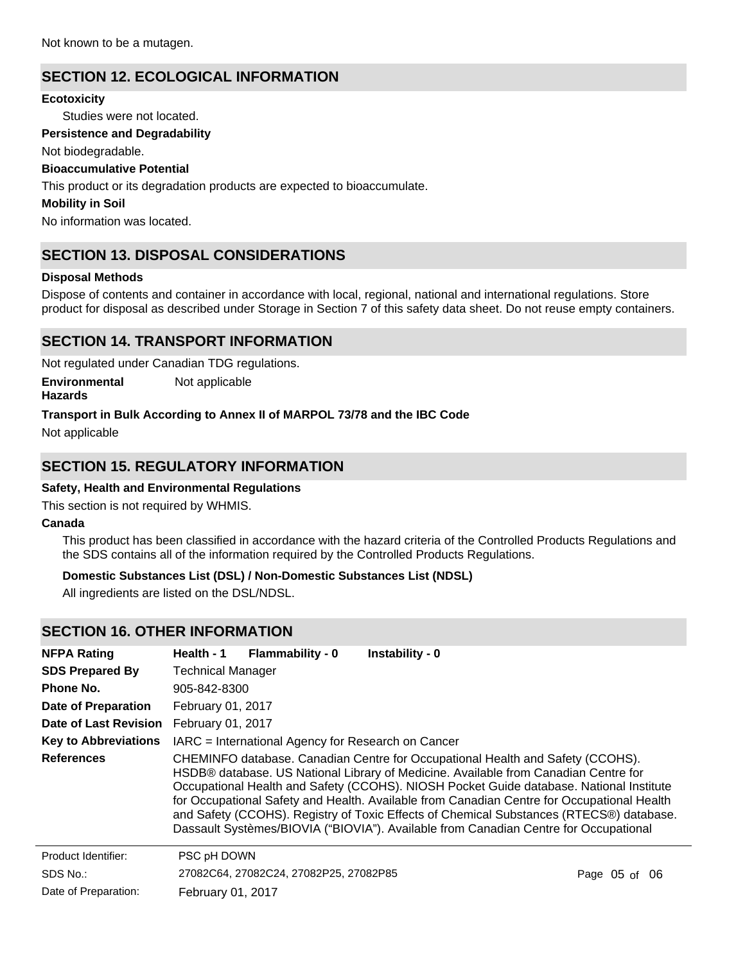## **SECTION 12. ECOLOGICAL INFORMATION**

### **Ecotoxicity**

Studies were not located.

### **Persistence and Degradability**

Not biodegradable.

### **Bioaccumulative Potential**

This product or its degradation products are expected to bioaccumulate.

### **Mobility in Soil**

No information was located.

## **SECTION 13. DISPOSAL CONSIDERATIONS**

### **Disposal Methods**

Dispose of contents and container in accordance with local, regional, national and international regulations. Store product for disposal as described under Storage in Section 7 of this safety data sheet. Do not reuse empty containers.

## **SECTION 14. TRANSPORT INFORMATION**

Not regulated under Canadian TDG regulations.

**Environmental** Not applicable

## **Hazards**

### **Transport in Bulk According to Annex II of MARPOL 73/78 and the IBC Code**

Not applicable

## **SECTION 15. REGULATORY INFORMATION**

### **Safety, Health and Environmental Regulations**

This section is not required by WHMIS.

### **Canada**

This product has been classified in accordance with the hazard criteria of the Controlled Products Regulations and the SDS contains all of the information required by the Controlled Products Regulations.

### **Domestic Substances List (DSL) / Non-Domestic Substances List (NDSL)**

All ingredients are listed on the DSL/NDSL.

## **SECTION 16. OTHER INFORMATION**

| <b>NFPA Rating</b>          | Health - 1                                                                                                                                                                                                                                                                                                                                                                                                                                                                                                                                        | <b>Flammability - 0</b>                            | Instability - 0 |                   |
|-----------------------------|---------------------------------------------------------------------------------------------------------------------------------------------------------------------------------------------------------------------------------------------------------------------------------------------------------------------------------------------------------------------------------------------------------------------------------------------------------------------------------------------------------------------------------------------------|----------------------------------------------------|-----------------|-------------------|
| <b>SDS Prepared By</b>      | <b>Technical Manager</b>                                                                                                                                                                                                                                                                                                                                                                                                                                                                                                                          |                                                    |                 |                   |
| Phone No.                   | 905-842-8300                                                                                                                                                                                                                                                                                                                                                                                                                                                                                                                                      |                                                    |                 |                   |
| <b>Date of Preparation</b>  | <b>February 01, 2017</b>                                                                                                                                                                                                                                                                                                                                                                                                                                                                                                                          |                                                    |                 |                   |
| Date of Last Revision       | February 01, 2017                                                                                                                                                                                                                                                                                                                                                                                                                                                                                                                                 |                                                    |                 |                   |
| <b>Key to Abbreviations</b> |                                                                                                                                                                                                                                                                                                                                                                                                                                                                                                                                                   | IARC = International Agency for Research on Cancer |                 |                   |
| <b>References</b>           | CHEMINFO database. Canadian Centre for Occupational Health and Safety (CCOHS).<br>HSDB® database. US National Library of Medicine. Available from Canadian Centre for<br>Occupational Health and Safety (CCOHS). NIOSH Pocket Guide database. National Institute<br>for Occupational Safety and Health. Available from Canadian Centre for Occupational Health<br>and Safety (CCOHS). Registry of Toxic Effects of Chemical Substances (RTECS®) database.<br>Dassault Systèmes/BIOVIA ("BIOVIA"). Available from Canadian Centre for Occupational |                                                    |                 |                   |
| Product Identifier:         | PSC pH DOWN                                                                                                                                                                                                                                                                                                                                                                                                                                                                                                                                       |                                                    |                 |                   |
| SDS No.:                    |                                                                                                                                                                                                                                                                                                                                                                                                                                                                                                                                                   | 27082C64, 27082C24, 27082P25, 27082P85             |                 | Page $05$ of $06$ |
| Date of Preparation:        | <b>February 01, 2017</b>                                                                                                                                                                                                                                                                                                                                                                                                                                                                                                                          |                                                    |                 |                   |